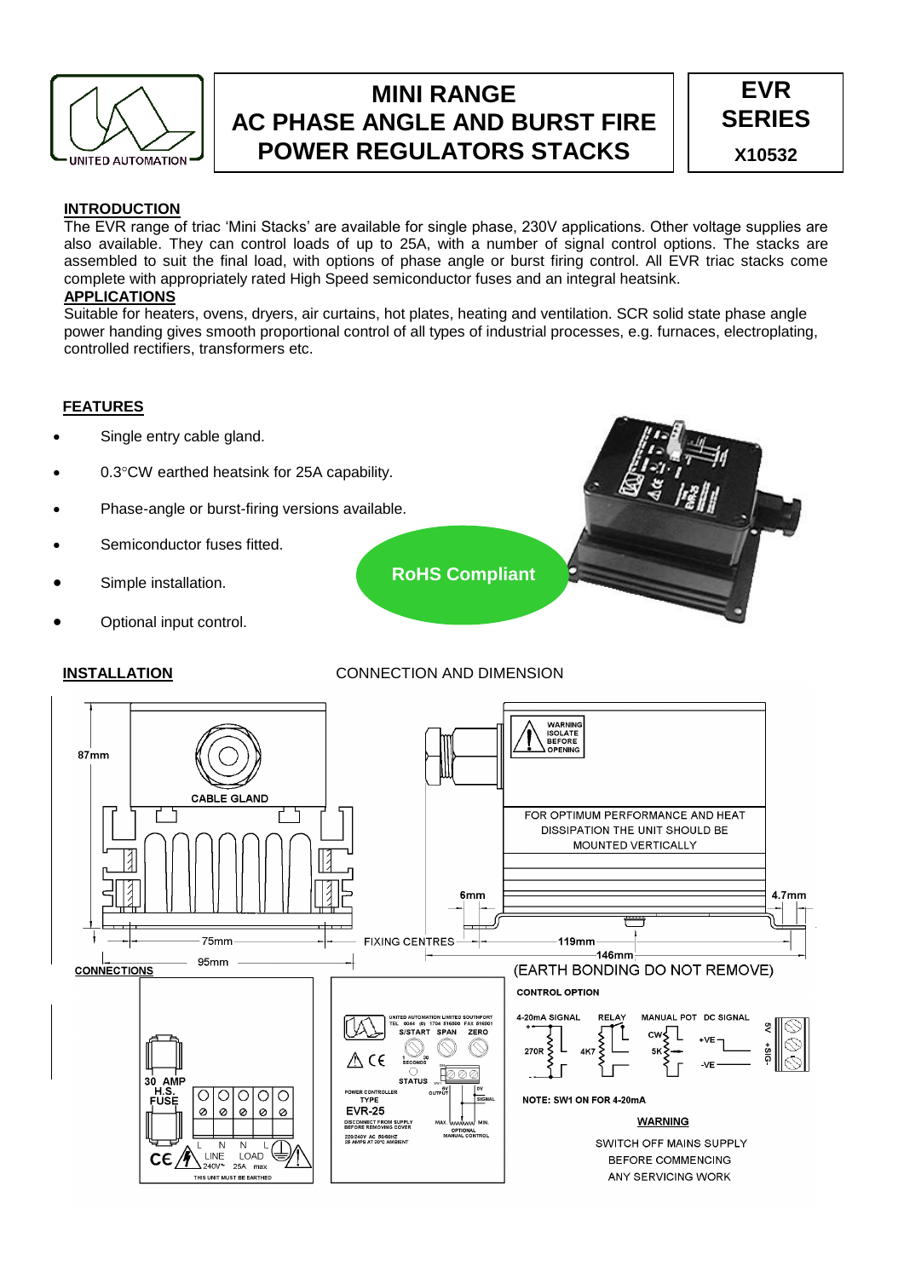

# **MINI RANGE AC PHASE ANGLE AND BURST FIRE POWER REGULATORS STACKS**



# **INTRODUCTION**

The EVR range of triac 'Mini Stacks' are available for single phase, 230V applications. Other voltage supplies are also available. They can control loads of up to 25A, with a number of signal control options. The stacks are assembled to suit the final load, with options of phase angle or burst firing control. All EVR triac stacks come complete with appropriately rated High Speed semiconductor fuses and an integral heatsink. **APPLICATIONS**

Suitable for heaters, ovens, dryers, air curtains, hot plates, heating and ventilation. SCR solid state phase angle power handing gives smooth proportional control of all types of industrial processes, e.g. furnaces, electroplating, controlled rectifiers, transformers etc.

# **FEATURES**

- Single entry cable gland.
- 0.3°CW earthed heatsink for 25A capability.
- Phase-angle or burst-firing versions available.
- Semiconductor fuses fitted.
- Simple installation.
- Optional input control.

# **INSTALLATION** CONNECTION AND DIMENSION

**RoHS Compliant**